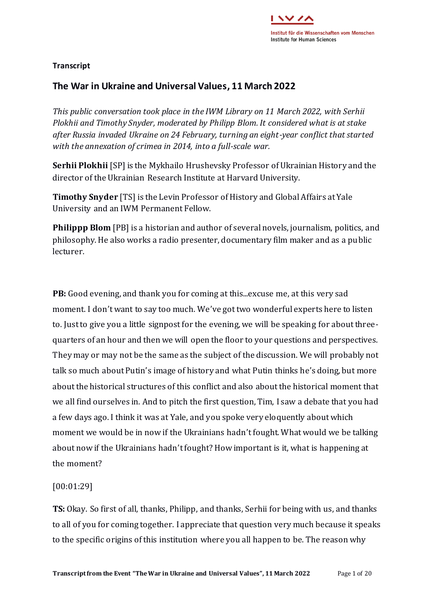

# **Transcript**

# **The War in Ukraine and Universal Values, 11 March 2022**

*This public conversation took place in the IWM Library on 11 March 2022, with Serhii Plokhii and Timothy Snyder, moderated by Philipp Blom. It considered what is at stake after Russia invaded Ukraine on 24 February, turning an eight-year conflict that started with the annexation of crimea in 2014, into a full-scale war.*

**Serhii Plokhii** [SP] is the Mykhailo Hrushevsky Professor of Ukrainian History and the director of the Ukrainian Research Institute at Harvard University.

**Timothy Snyder** [TS] is the Levin Professor of History and Global Affairs at Yale University and an IWM Permanent Fellow.

**Philippp Blom** [PB] is a historian and author of several novels, journalism, politics, and philosophy. He also works a radio presenter, documentary film maker and as a public lecturer.

**PB:** Good evening, and thank you for coming at this...excuse me, at this very sad moment. I don't want to say too much. We've got two wonderful experts here to listen to. Just to give you a little signpost for the evening, we will be speaking for about threequarters of an hour and then we will open the floor to your questions and perspectives. They may or may not be the same as the subject of the discussion. We will probably not talk so much about Putin's image of history and what Putin thinks he's doing, but more about the historical structures of this conflict and also about the historical moment that we all find ourselves in. And to pitch the first question, Tim, I saw a debate that you had a few days ago. I think it was at Yale, and you spoke very eloquently about which moment we would be in now if the Ukrainians hadn't fought. What would we be talking about now if the Ukrainians hadn't fought? How important is it, what is happening at the moment?

# [00:01:29]

**TS:** Okay. So first of all, thanks, Philipp, and thanks, Serhii for being with us, and thanks to all of you for coming together. I appreciate that question very much because it speaks to the specific origins of this institution where you all happen to be. The reason why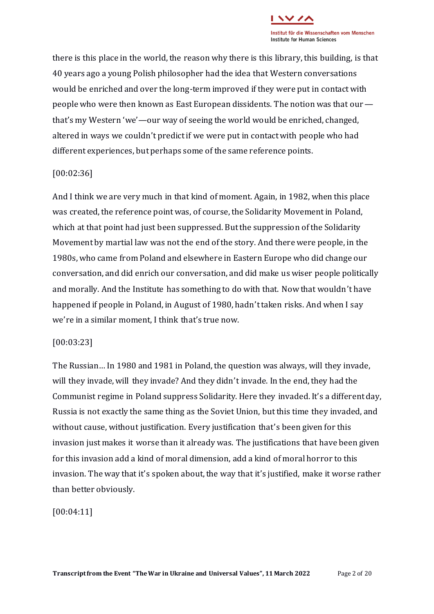

there is this place in the world, the reason why there is this library, this building, is that 40 years ago a young Polish philosopher had the idea that Western conversations would be enriched and over the long-term improved if they were put in contact with people who were then known as East European dissidents. The notion was that our that's my Western 'we'—our way of seeing the world would be enriched, changed, altered in ways we couldn't predict if we were put in contact with people who had different experiences, but perhaps some of the same reference points.

#### [00:02:36]

And I think we are very much in that kind of moment. Again, in 1982, when this place was created, the reference point was, of course, the Solidarity Movement in Poland, which at that point had just been suppressed. But the suppression of the Solidarity Movement by martial law was not the end of the story. And there were people, in the 1980s, who came from Poland and elsewhere in Eastern Europe who did change our conversation, and did enrich our conversation, and did make us wiser people politically and morally. And the Institute has something to do with that. Now that wouldn't have happened if people in Poland, in August of 1980, hadn't taken risks. And when I say we're in a similar moment, I think that's true now.

#### [00:03:23]

The Russian… In 1980 and 1981 in Poland, the question was always, will they invade, will they invade, will they invade? And they didn't invade. In the end, they had the Communist regime in Poland suppress Solidarity. Here they invaded. It's a different day, Russia is not exactly the same thing as the Soviet Union, but this time they invaded, and without cause, without justification. Every justification that's been given for this invasion just makes it worse than it already was. The justifications that have been given for this invasion add a kind of moral dimension, add a kind of moral horror to this invasion. The way that it's spoken about, the way that it's justified, make it worse rather than better obviously.

[00:04:11]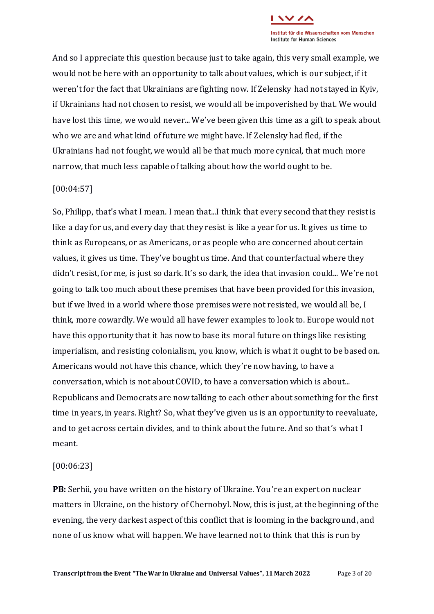

And so I appreciate this question because just to take again, this very small example, we would not be here with an opportunity to talk about values, which is our subject, if it weren't for the fact that Ukrainians are fighting now. If Zelensky had not stayed in Kyiv, if Ukrainians had not chosen to resist, we would all be impoverished by that. We would have lost this time, we would never... We've been given this time as a gift to speak about who we are and what kind of future we might have. If Zelensky had fled, if the Ukrainians had not fought, we would all be that much more cynical, that much more narrow, that much less capable of talking about how the world ought to be.

## [00:04:57]

So, Philipp, that's what I mean. I mean that...I think that every second that they resist is like a day for us, and every day that they resist is like a year for us. It gives us time to think as Europeans, or as Americans, or as people who are concerned about certain values, it gives us time. They've bought us time. And that counterfactual where they didn't resist, for me, is just so dark. It's so dark, the idea that invasion could... We're not going to talk too much about these premises that have been provided for this invasion, but if we lived in a world where those premises were not resisted, we would all be, I think, more cowardly. We would all have fewer examples to look to. Europe would not have this opportunity that it has now to base its moral future on things like resisting imperialism, and resisting colonialism, you know, which is what it ought to be based on. Americans would not have this chance, which they're now having, to have a conversation, which is not about COVID, to have a conversation which is about... Republicans and Democrats are now talking to each other about something for the first time in years, in years. Right? So, what they've given us is an opportunity to reevaluate, and to get across certain divides, and to think about the future. And so that's what I meant.

#### [00:06:23]

**PB:** Serhii, you have written on the history of Ukraine. You're an expert on nuclear matters in Ukraine, on the history of Chernobyl. Now, this is just, at the beginning of the evening, the very darkest aspect of this conflict that is looming in the background, and none of us know what will happen. We have learned not to think that this is run by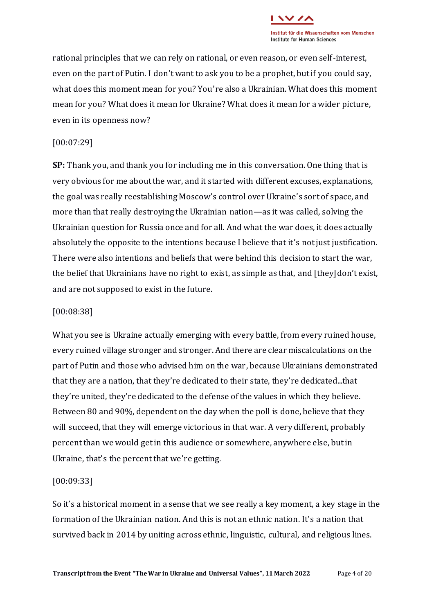

rational principles that we can rely on rational, or even reason, or even self-interest, even on the part of Putin. I don't want to ask you to be a prophet, but if you could say, what does this moment mean for you? You're also a Ukrainian. What does this moment mean for you? What does it mean for Ukraine? What does it mean for a wider picture, even in its openness now?

# [00:07:29]

**SP:** Thank you, and thank you for including me in this conversation. One thing that is very obvious for me about the war, and it started with different excuses, explanations, the goal was really reestablishing Moscow's control over Ukraine's sort of space, and more than that really destroying the Ukrainian nation—as it was called, solving the Ukrainian question for Russia once and for all. And what the war does, it does actually absolutely the opposite to the intentions because I believe that it's not just justification. There were also intentions and beliefs that were behind this decision to start the war, the belief that Ukrainians have no right to exist, as simple as that, and [they]don't exist, and are not supposed to exist in the future.

# [00:08:38]

What you see is Ukraine actually emerging with every battle, from every ruined house, every ruined village stronger and stronger. And there are clear miscalculations on the part of Putin and those who advised him on the war, because Ukrainians demonstrated that they are a nation, that they're dedicated to their state, they're dedicated...that they're united, they're dedicated to the defense of the values in which they believe. Between 80 and 90%, dependent on the day when the poll is done, believe that they will succeed, that they will emerge victorious in that war. A very different, probably percent than we would get in this audience or somewhere, anywhere else, but in Ukraine, that's the percent that we're getting.

# [00:09:33]

So it's a historical moment in a sense that we see really a key moment, a key stage in the formation of the Ukrainian nation. And this is not an ethnic nation. It's a nation that survived back in 2014 by uniting across ethnic, linguistic, cultural, and religious lines.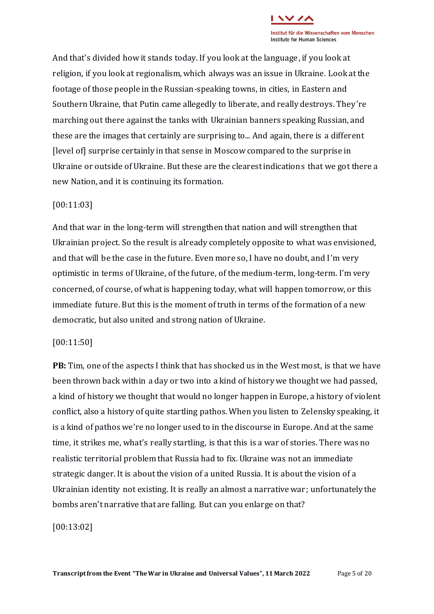

And that's divided how it stands today. If you look at the language, if you look at religion, if you look at regionalism, which always was an issue in Ukraine. Look at the footage of those people in the Russian-speaking towns, in cities, in Eastern and Southern Ukraine, that Putin came allegedly to liberate, and really destroys. They're marching out there against the tanks with Ukrainian banners speaking Russian, and these are the images that certainly are surprising to... And again, there is a different [level of] surprise certainly in that sense in Moscow compared to the surprise in Ukraine or outside of Ukraine. But these are the clearest indications that we got there a new Nation, and it is continuing its formation.

## [00:11:03]

And that war in the long-term will strengthen that nation and will strengthen that Ukrainian project. So the result is already completely opposite to what was envisioned, and that will be the case in the future. Even more so, I have no doubt, and I'm very optimistic in terms of Ukraine, of the future, of the medium-term, long-term. I'm very concerned, of course, of what is happening today, what will happen tomorrow, or this immediate future. But this is the moment of truth in terms of the formation of a new democratic, but also united and strong nation of Ukraine.

#### [00:11:50]

**PB:** Tim, one of the aspects I think that has shocked us in the West most, is that we have been thrown back within a day or two into a kind of history we thought we had passed, a kind of history we thought that would no longer happen in Europe, a history of violent conflict, also a history of quite startling pathos. When you listen to Zelensky speaking, it is a kind of pathos we're no longer used to in the discourse in Europe. And at the same time, it strikes me, what's really startling, is that this is a war of stories. There was no realistic territorial problem that Russia had to fix. Ukraine was not an immediate strategic danger. It is about the vision of a united Russia. It is about the vision of a Ukrainian identity not existing. It is really an almost a narrative war ; unfortunately the bombs aren't narrative that are falling. But can you enlarge on that?

## [00:13:02]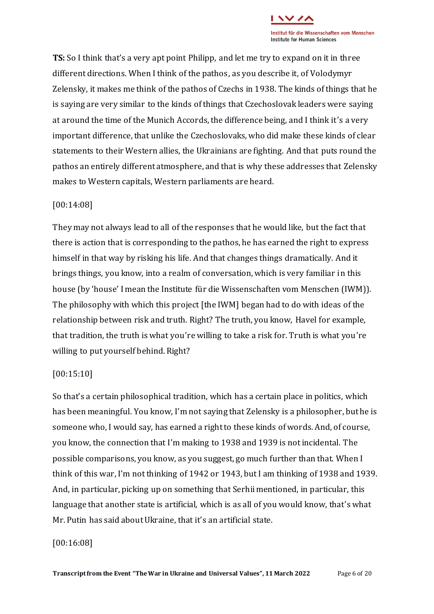

**TS:** So I think that's a very apt point Philipp, and let me try to expand on it in three different directions. When I think of the pathos, as you describe it, of Volodymyr Zelensky, it makes me think of the pathos of Czechs in 1938. The kinds of things that he is saying are very similar to the kinds of things that Czechoslovak leaders were saying at around the time of the Munich Accords, the difference being, and I think it's a very important difference, that unlike the Czechoslovaks, who did make these kinds of clear statements to their Western allies, the Ukrainians are fighting. And that puts round the pathos an entirely different atmosphere, and that is why these addresses that Zelensky makes to Western capitals, Western parliaments are heard.

# [00:14:08]

They may not always lead to all of the responses that he would like, but the fact that there is action that is corresponding to the pathos, he has earned the right to express himself in that way by risking his life. And that changes things dramatically. And it brings things, you know, into a realm of conversation, which is very familiar in this house (by 'house' I mean the Institute für die Wissenschaften vom Menschen (IWM)). The philosophy with which this project [the IWM] began had to do with ideas of the relationship between risk and truth. Right? The truth, you know, Havel for example, that tradition, the truth is what you're willing to take a risk for. Truth is what you're willing to put yourself behind. Right?

#### [00:15:10]

So that's a certain philosophical tradition, which has a certain place in politics, which has been meaningful. You know, I'm not saying that Zelensky is a philosopher, but he is someone who, I would say, has earned a right to these kinds of words. And, of course, you know, the connection that I'm making to 1938 and 1939 is not incidental. The possible comparisons, you know, as you suggest, go much further than that. When I think of this war, I'm not thinking of 1942 or 1943, but I am thinking of 1938 and 1939. And, in particular, picking up on something that Serhii mentioned, in particular, this language that another state is artificial, which is as all of you would know, that's what Mr. Putin has said about Ukraine, that it's an artificial state.

#### [00:16:08]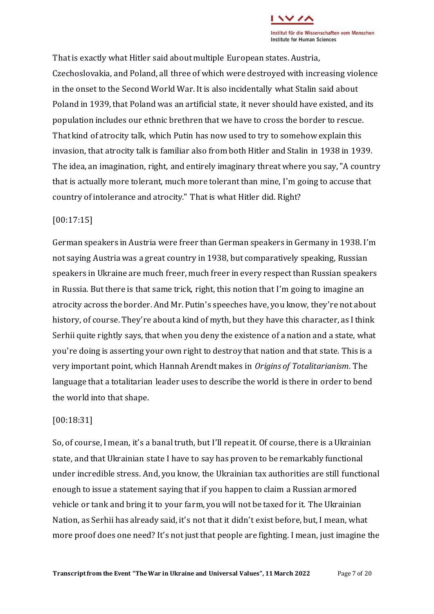That is exactly what Hitler said about multiple European states. Austria, Czechoslovakia, and Poland, all three of which were destroyed with increasing violence in the onset to the Second World War. It is also incidentally what Stalin said about Poland in 1939, that Poland was an artificial state, it never should have existed, and its population includes our ethnic brethren that we have to cross the border to rescue. That kind of atrocity talk, which Putin has now used to try to somehow explain this invasion, that atrocity talk is familiar also from both Hitler and Stalin in 1938 in 1939. The idea, an imagination, right, and entirely imaginary threat where you say, "A country that is actually more tolerant, much more tolerant than mine, I'm going to accuse that country of intolerance and atrocity." That is what Hitler did. Right?

# [00:17:15]

German speakers in Austria were freer than German speakers in Germany in 1938. I'm not saying Austria was a great country in 1938, but comparatively speaking, Russian speakers in Ukraine are much freer, much freer in every respect than Russian speakers in Russia. But there is that same trick, right, this notion that I'm going to imagine an atrocity across the border. And Mr. Putin's speeches have, you know, they're not about history, of course. They're about a kind of myth, but they have this character, as I think Serhii quite rightly says, that when you deny the existence of a nation and a state, what you're doing is asserting your own right to destroy that nation and that state. This is a very important point, which Hannah Arendt makes in *Origins of Totalitarianism*. The language that a totalitarian leader uses to describe the world is there in order to bend the world into that shape.

# [00:18:31]

So, of course, I mean, it's a banal truth, but I'll repeat it. Of course, there is a Ukrainian state, and that Ukrainian state I have to say has proven to be remarkably functional under incredible stress. And, you know, the Ukrainian tax authorities are still functional enough to issue a statement saying that if you happen to claim a Russian armored vehicle or tank and bring it to your farm, you will not be taxed for it. The Ukrainian Nation, as Serhii has already said, it's not that it didn't exist before, but, I mean, what more proof does one need? It's not just that people are fighting. I mean, just imagine the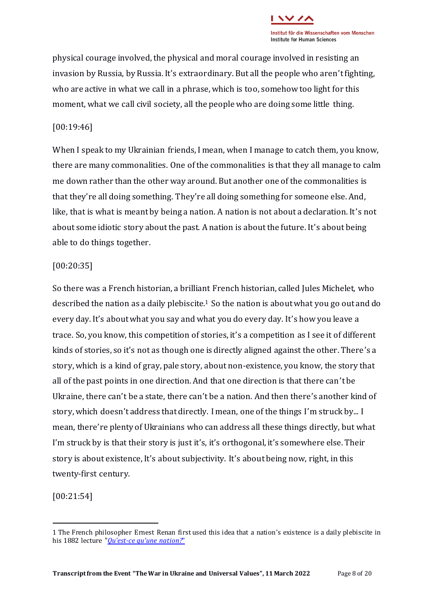

physical courage involved, the physical and moral courage involved in resisting an invasion by Russia, by Russia. It's extraordinary. But all the people who aren't fighting, who are active in what we call in a phrase, which is too, somehow too light for this moment, what we call civil society, all the people who are doing some little thing.

## [00:19:46]

When I speak to my Ukrainian friends, I mean, when I manage to catch them, you know, there are many commonalities. One of the commonalities is that they all manage to calm me down rather than the other way around. But another one of the commonalities is that they're all doing something. They're all doing something for someone else. And, like, that is what is meant by being a nation. A nation is not about a declaration. It's not about some idiotic story about the past. A nation is about the future. It's about being able to do things together.

#### [00:20:35]

So there was a French historian, a brilliant French historian, called Jules Michelet, who described the nation as a daily plebiscite.<sup>1</sup> So the nation is about what you go out and do every day. It's about what you say and what you do every day. It's how you leave a trace. So, you know, this competition of stories, it's a competition as I see it of different kinds of stories, so it's not as though one is directly aligned against the other. There's a story, which is a kind of gray, pale story, about non-existence, you know, the story that all of the past points in one direction. And that one direction is that there can't be Ukraine, there can't be a state, there can't be a nation. And then there's another kind of story, which doesn't address that directly. I mean, one of the things I'm struck by... I mean, there're plenty of Ukrainians who can address all these things directly, but what I'm struck by is that their story is just it's, it's orthogonal, it's somewhere else. Their story is about existence, It's about subjectivity. It's about being now, right, in this twenty-first century.

[00:21:54]

<sup>1</sup> The French philosopher Ernest Renan first used this idea that a nation's existence is a daily plebiscite in his 1882 lecture "*Qu'est-ce qu'[une nation?](http://www.iheal.univ-paris3.fr/sites/www.iheal.univ-paris3.fr/files/Renan_-_Qu_est-ce_qu_une_Nation.pdf)*"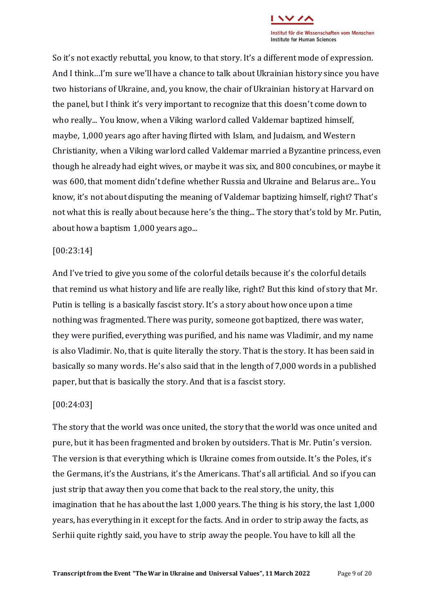

So it's not exactly rebuttal, you know, to that story. It's a different mode of expression. And I think…I'm sure we'll have a chance to talk about Ukrainian history since you have two historians of Ukraine, and, you know, the chair of Ukrainian history at Harvard on the panel, but I think it's very important to recognize that this doesn't come down to who really... You know, when a Viking warlord called Valdemar baptized himself, maybe, 1,000 years ago after having flirted with Islam, and Judaism, and Western Christianity, when a Viking warlord called Valdemar married a Byzantine princess, even though he already had eight wives, or maybe it was six, and 800 concubines, or maybe it was 600, that moment didn't define whether Russia and Ukraine and Belarus are... You know, it's not about disputing the meaning of Valdemar baptizing himself, right? That's not what this is really about because here's the thing... The story that's told by Mr. Putin, about how a baptism 1,000 years ago...

#### [00:23:14]

And I've tried to give you some of the colorful details because it's the colorful details that remind us what history and life are really like, right? But this kind of story that Mr. Putin is telling is a basically fascist story. It's a story about how once upon a time nothing was fragmented. There was purity, someone got baptized, there was water, they were purified, everything was purified, and his name was Vladimir, and my name is also Vladimir. No, that is quite literally the story. That is the story. It has been said in basically so many words. He's also said that in the length of 7,000 words in a published paper, but that is basically the story. And that is a fascist story.

# [00:24:03]

The story that the world was once united, the story that the world was once united and pure, but it has been fragmented and broken by outsiders. That is Mr. Putin's version. The version is that everything which is Ukraine comes from outside. It's the Poles, it's the Germans, it's the Austrians, it's the Americans. That's all artificial. And so if you can just strip that away then you come that back to the real story, the unity, this imagination that he has about the last 1,000 years. The thing is his story, the last 1,000 years, has everything in it except for the facts. And in order to strip away the facts, as Serhii quite rightly said, you have to strip away the people. You have to kill all the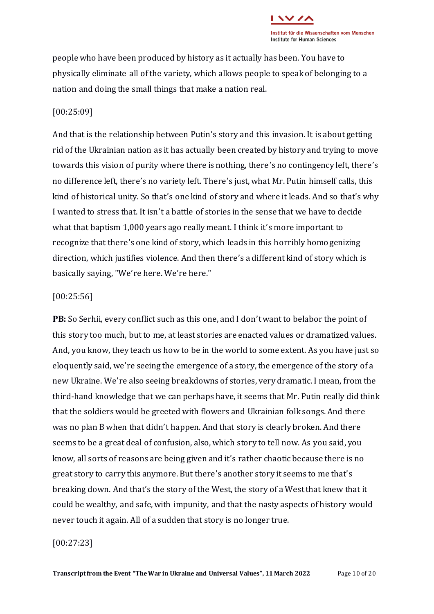

people who have been produced by history as it actually has been. You have to physically eliminate all of the variety, which allows people to speak of belonging to a nation and doing the small things that make a nation real.

### [00:25:09]

And that is the relationship between Putin's story and this invasion. It is about getting rid of the Ukrainian nation as it has actually been created by history and trying to move towards this vision of purity where there is nothing, there's no contingency left, there's no difference left, there's no variety left. There's just, what Mr. Putin himself calls, this kind of historical unity. So that's one kind of story and where it leads. And so that's why I wanted to stress that. It isn't a battle of stories in the sense that we have to decide what that baptism 1,000 years ago really meant. I think it's more important to recognize that there's one kind of story, which leads in this horribly homogenizing direction, which justifies violence. And then there's a different kind of story which is basically saying, "We're here. We're here."

### [00:25:56]

**PB:** So Serhii, every conflict such as this one, and I don't want to belabor the point of this story too much, but to me, at least stories are enacted values or dramatized values. And, you know, they teach us how to be in the world to some extent. As you have just so eloquently said, we're seeing the emergence of a story, the emergence of the story of a new Ukraine. We're also seeing breakdowns of stories, very dramatic. I mean, from the third-hand knowledge that we can perhaps have, it seems that Mr. Putin really did think that the soldiers would be greeted with flowers and Ukrainian folk songs. And there was no plan B when that didn't happen. And that story is clearly broken. And there seems to be a great deal of confusion, also, which story to tell now. As you said, you know, all sorts of reasons are being given and it's rather chaotic because there is no great story to carry this anymore. But there's another story it seems to me that's breaking down. And that's the story of the West, the story of a West that knew that it could be wealthy, and safe, with impunity, and that the nasty aspects of history would never touch it again. All of a sudden that story is no longer true.

#### [00:27:23]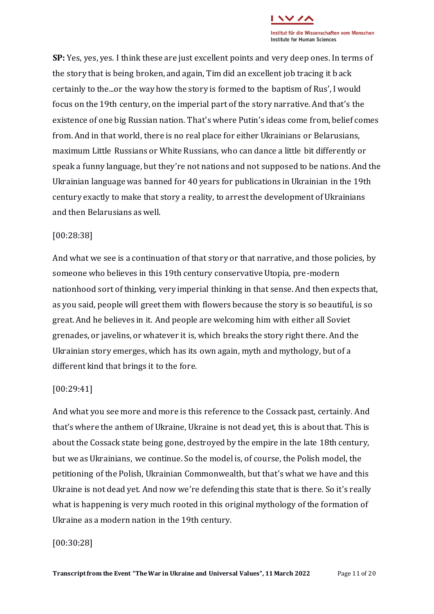

**SP:** Yes, yes, yes. I think these are just excellent points and very deep ones. In terms of the story that is being broken, and again, Tim did an excellent job tracing it back certainly to the...or the way how the story is formed to the baptism of Rus', I would focus on the 19th century, on the imperial part of the story narrative. And that's the existence of one big Russian nation. That's where Putin's ideas come from, belief comes from. And in that world, there is no real place for either Ukrainians or Belarusians, maximum Little Russians or White Russians, who can dance a little bit differently or speak a funny language, but they're not nations and not supposed to be nations. And the Ukrainian language was banned for 40 years for publications in Ukrainian in the 19th century exactly to make that story a reality, to arrest the development of Ukrainians and then Belarusians as well.

## [00:28:38]

And what we see is a continuation of that story or that narrative, and those policies, by someone who believes in this 19th century conservative Utopia, pre-modern nationhood sort of thinking, very imperial thinking in that sense. And then expects that, as you said, people will greet them with flowers because the story is so beautiful, is so great. And he believes in it. And people are welcoming him with either all Soviet grenades, or javelins, or whatever it is, which breaks the story right there. And the Ukrainian story emerges, which has its own again, myth and mythology, but of a different kind that brings it to the fore.

#### [00:29:41]

And what you see more and more is this reference to the Cossack past, certainly. And that's where the anthem of Ukraine, Ukraine is not dead yet, this is about that. This is about the Cossack state being gone, destroyed by the empire in the late 18th century, but we as Ukrainians, we continue. So the model is, of course, the Polish model, the petitioning of the Polish, Ukrainian Commonwealth, but that's what we have and this Ukraine is not dead yet. And now we're defending this state that is there. So it's really what is happening is very much rooted in this original mythology of the formation of Ukraine as a modern nation in the 19th century.

### [00:30:28]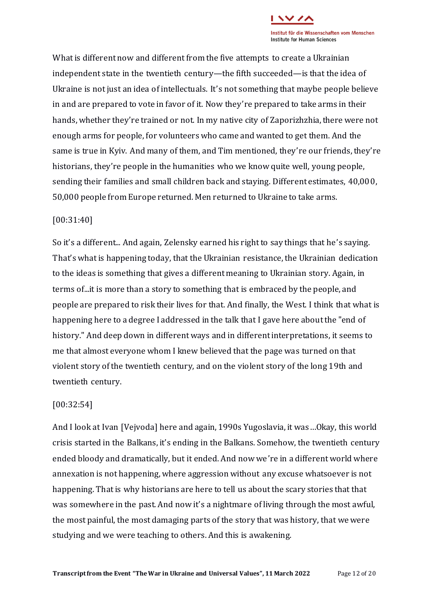What is different now and different from the five attempts to create a Ukrainian independent state in the twentieth century—the fifth succeeded—is that the idea of Ukraine is not just an idea of intellectuals. It's not something that maybe people believe in and are prepared to vote in favor of it. Now they're prepared to take arms in their hands, whether they're trained or not. In my native city of Zaporizhzhia, there were not enough arms for people, for volunteers who came and wanted to get them. And the same is true in Kyiv. And many of them, and Tim mentioned, they're our friends, they're historians, they're people in the humanities who we know quite well, young people, sending their families and small children back and staying. Different estimates, 40,000, 50,000 people from Europe returned. Men returned to Ukraine to take arms.

# [00:31:40]

So it's a different... And again, Zelensky earned his right to say things that he's saying. That's what is happening today, that the Ukrainian resistance, the Ukrainian dedication to the ideas is something that gives a different meaning to Ukrainian story. Again, in terms of...it is more than a story to something that is embraced by the people, and people are prepared to risk their lives for that. And finally, the West. I think that what is happening here to a degree I addressed in the talk that I gave here about the "end of history." And deep down in different ways and in different interpretations, it seems to me that almost everyone whom I knew believed that the page was turned on that violent story of the twentieth century, and on the violent story of the long 19th and twentieth century.

# [00:32:54]

And I look at Ivan [Vejvoda] here and again, 1990s Yugoslavia, it was…Okay, this world crisis started in the Balkans, it's ending in the Balkans. Somehow, the twentieth century ended bloody and dramatically, but it ended. And now we're in a different world where annexation is not happening, where aggression without any excuse whatsoever is not happening. That is why historians are here to tell us about the scary stories that that was somewhere in the past. And now it's a nightmare of living through the most awful, the most painful, the most damaging parts of the story that was history, that we were studying and we were teaching to others. And this is awakening.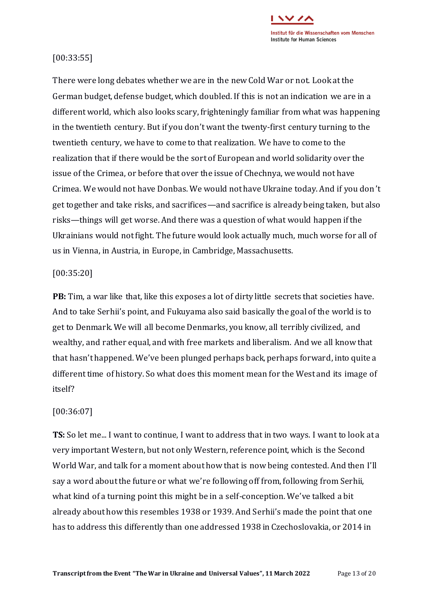

## [00:33:55]

There were long debates whether we are in the new Cold War or not. Look at the German budget, defense budget, which doubled. If this is not an indication we are in a different world, which also looks scary, frighteningly familiar from what was happening in the twentieth century. But if you don't want the twenty-first century turning to the twentieth century, we have to come to that realization. We have to come to the realization that if there would be the sort of European and world solidarity over the issue of the Crimea, or before that over the issue of Chechnya, we would not have Crimea. We would not have Donbas. We would not have Ukraine today. And if you don't get together and take risks, and sacrifices—and sacrifice is already being taken, but also risks—things will get worse. And there was a question of what would happen if the Ukrainians would not fight. The future would look actually much, much worse for all of us in Vienna, in Austria, in Europe, in Cambridge, Massachusetts.

## [00:35:20]

**PB:** Tim, a war like that, like this exposes a lot of dirty little secrets that societies have. And to take Serhii's point, and Fukuyama also said basically the goal of the world is to get to Denmark. We will all become Denmarks, you know, all terribly civilized, and wealthy, and rather equal, and with free markets and liberalism. And we all know that that hasn't happened. We've been plunged perhaps back, perhaps forward, into quite a different time of history. So what does this moment mean for the West and its image of itself?

# [00:36:07]

**TS:** So let me... I want to continue, I want to address that in two ways. I want to look at a very important Western, but not only Western, reference point, which is the Second World War, and talk for a moment about how that is now being contested. And then I'll say a word about the future or what we're following off from, following from Serhii, what kind of a turning point this might be in a self-conception. We've talked a bit already about how this resembles 1938 or 1939. And Serhii's made the point that one has to address this differently than one addressed 1938 in Czechoslovakia, or 2014 in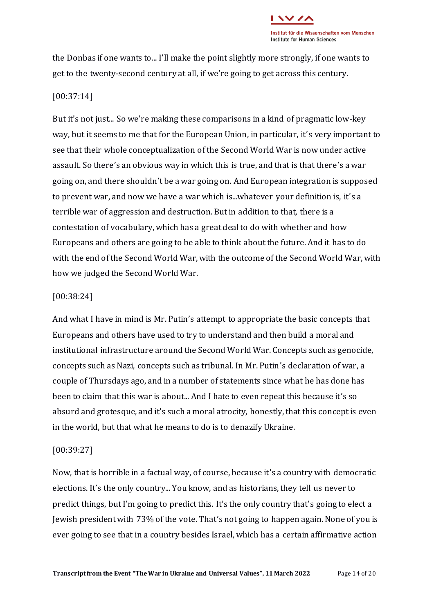

the Donbas if one wants to... I'll make the point slightly more strongly, if one wants to get to the twenty-second century at all, if we're going to get across this century.

## [00:37:14]

But it's not just... So we're making these comparisons in a kind of pragmatic low-key way, but it seems to me that for the European Union, in particular, it's very important to see that their whole conceptualization of the Second World War is now under active assault. So there's an obvious way in which this is true, and that is that there's a war going on, and there shouldn't be a war going on. And European integration is supposed to prevent war, and now we have a war which is...whatever your definition is, it's a terrible war of aggression and destruction. But in addition to that, there is a contestation of vocabulary, which has a great deal to do with whether and how Europeans and others are going to be able to think about the future. And it has to do with the end of the Second World War, with the outcome of the Second World War, with how we judged the Second World War.

## [00:38:24]

And what I have in mind is Mr. Putin's attempt to appropriate the basic concepts that Europeans and others have used to try to understand and then build a moral and institutional infrastructure around the Second World War. Concepts such as genocide, concepts such as Nazi, concepts such as tribunal. In Mr. Putin's declaration of war, a couple of Thursdays ago, and in a number of statements since what he has done has been to claim that this war is about... And I hate to even repeat this because it's so absurd and grotesque, and it's such a moral atrocity, honestly, that this concept is even in the world, but that what he means to do is to denazify Ukraine.

# [00:39:27]

Now, that is horrible in a factual way, of course, because it's a country with democratic elections. It's the only country... You know, and as historians, they tell us never to predict things, but I'm going to predict this. It's the only country that's going to elect a Jewish president with 73% of the vote. That's not going to happen again. None of you is ever going to see that in a country besides Israel, which has a certain affirmative action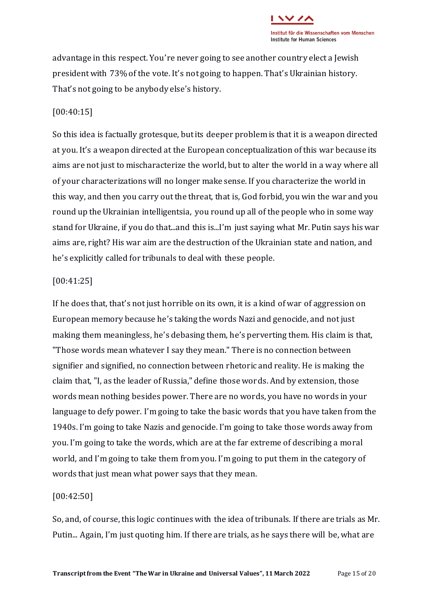

advantage in this respect. You're never going to see another country elect a Jewish president with 73% of the vote. It's not going to happen. That's Ukrainian history. That's not going to be anybody else's history.

### [00:40:15]

So this idea is factually grotesque, but its deeper problem is that it is a weapon directed at you. It's a weapon directed at the European conceptualization of this war because its aims are not just to mischaracterize the world, but to alter the world in a way where all of your characterizations will no longer make sense. If you characterize the world in this way, and then you carry out the threat, that is, God forbid, you win the war and you round up the Ukrainian intelligentsia, you round up all of the people who in some way stand for Ukraine, if you do that...and this is...I'm just saying what Mr. Putin says his war aims are, right? His war aim are the destruction of the Ukrainian state and nation, and he's explicitly called for tribunals to deal with these people.

#### [00:41:25]

If he does that, that's not just horrible on its own, it is a kind of war of aggression on European memory because he's taking the words Nazi and genocide, and not just making them meaningless, he's debasing them, he's perverting them. His claim is that, "Those words mean whatever I say they mean." There is no connection between signifier and signified, no connection between rhetoric and reality. He is making the claim that, "I, as the leader of Russia," define those words. And by extension, those words mean nothing besides power. There are no words, you have no words in your language to defy power. I'm going to take the basic words that you have taken from the 1940s. I'm going to take Nazis and genocide. I'm going to take those words away from you. I'm going to take the words, which are at the far extreme of describing a moral world, and I'm going to take them from you. I'm going to put them in the category of words that just mean what power says that they mean.

#### [00:42:50]

So, and, of course, this logic continues with the idea of tribunals. If there are trials as Mr. Putin... Again, I'm just quoting him. If there are trials, as he says there will be, what are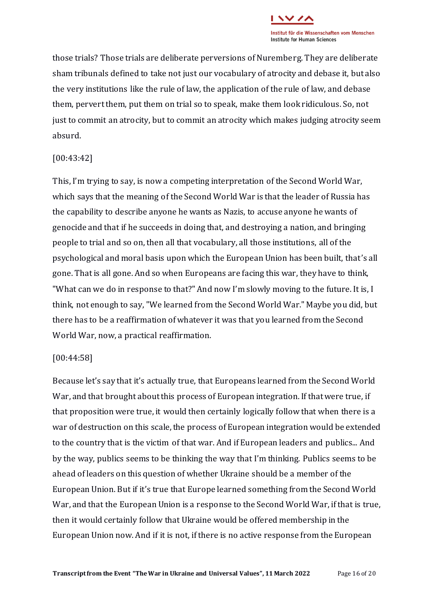

those trials? Those trials are deliberate perversions of Nuremberg. They are deliberate sham tribunals defined to take not just our vocabulary of atrocity and debase it, but also the very institutions like the rule of law, the application of the rule of law, and debase them, pervert them, put them on trial so to speak, make them look ridiculous. So, not just to commit an atrocity, but to commit an atrocity which makes judging atrocity seem absurd.

## [00:43:42]

This, I'm trying to say, is now a competing interpretation of the Second World War, which says that the meaning of the Second World War is that the leader of Russia has the capability to describe anyone he wants as Nazis, to accuse anyone he wants of genocide and that if he succeeds in doing that, and destroying a nation, and bringing people to trial and so on, then all that vocabulary, all those institutions, all of the psychological and moral basis upon which the European Union has been built, that's all gone. That is all gone. And so when Europeans are facing this war, they have to think, "What can we do in response to that?" And now I'm slowly moving to the future. It is, I think, not enough to say, "We learned from the Second World War." Maybe you did, but there has to be a reaffirmation of whatever it was that you learned from the Second World War, now, a practical reaffirmation.

#### [00:44:58]

Because let's say that it's actually true, that Europeans learned from the Second World War, and that brought about this process of European integration. If that were true, if that proposition were true, it would then certainly logically follow that when there is a war of destruction on this scale, the process of European integration would be extended to the country that is the victim of that war. And if European leaders and publics... And by the way, publics seems to be thinking the way that I'm thinking. Publics seems to be ahead of leaders on this question of whether Ukraine should be a member of the European Union. But if it's true that Europe learned something from the Second World War, and that the European Union is a response to the Second World War, if that is true, then it would certainly follow that Ukraine would be offered membership in the European Union now. And if it is not, if there is no active response from the European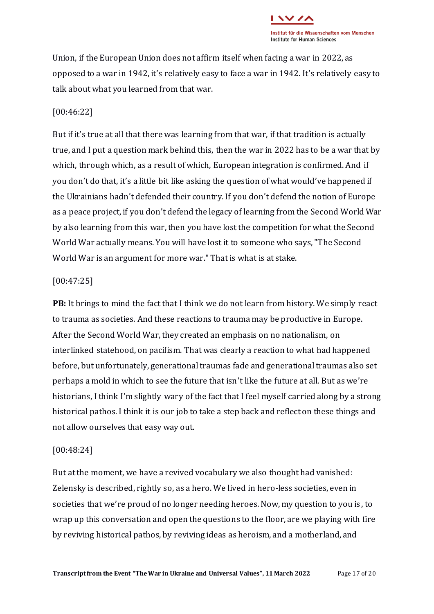

Union, if the European Union does not affirm itself when facing a war in 2022, as opposed to a war in 1942, it's relatively easy to face a war in 1942. It's relatively easy to talk about what you learned from that war.

## [00:46:22]

But if it's true at all that there was learning from that war, if that tradition is actually true, and I put a question mark behind this, then the war in 2022 has to be a war that by which, through which, as a result of which, European integration is confirmed. And if you don't do that, it's a little bit like asking the question of what would've happened if the Ukrainians hadn't defended their country. If you don't defend the notion of Europe as a peace project, if you don't defend the legacy of learning from the Second World War by also learning from this war, then you have lost the competition for what the Second World War actually means. You will have lost it to someone who says, "The Second World War is an argument for more war." That is what is at stake.

#### [00:47:25]

**PB:** It brings to mind the fact that I think we do not learn from history. We simply react to trauma as societies. And these reactions to trauma may be productive in Europe. After the Second World War, they created an emphasis on no nationalism, on interlinked statehood, on pacifism. That was clearly a reaction to what had happened before, but unfortunately, generational traumas fade and generational traumas also set perhaps a mold in which to see the future that isn't like the future at all. But as we're historians, I think I'm slightly wary of the fact that I feel myself carried along by a strong historical pathos. I think it is our job to take a step back and reflect on these things and not allow ourselves that easy way out.

#### [00:48:24]

But at the moment, we have a revived vocabulary we also thought had vanished: Zelensky is described, rightly so, as a hero. We lived in hero-less societies, even in societies that we're proud of no longer needing heroes. Now, my question to you is, to wrap up this conversation and open the questions to the floor, are we playing with fire by reviving historical pathos, by reviving ideas as heroism, and a motherland, and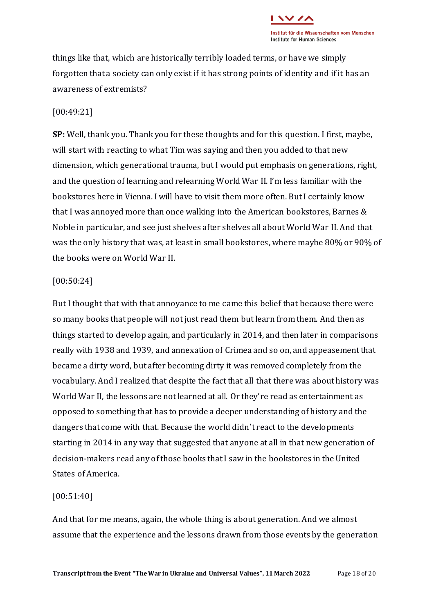

things like that, which are historically terribly loaded terms, or have we simply forgotten that a society can only exist if it has strong points of identity and if it has an awareness of extremists?

### [00:49:21]

**SP:** Well, thank you. Thank you for these thoughts and for this question. I first, maybe, will start with reacting to what Tim was saying and then you added to that new dimension, which generational trauma, but I would put emphasis on generations, right, and the question of learning and relearning World War II. I'm less familiar with the bookstores here in Vienna. I will have to visit them more often. But I certainly know that I was annoyed more than once walking into the American bookstores, Barnes & Noble in particular, and see just shelves after shelves all about World War II. And that was the only history that was, at least in small bookstores, where maybe 80% or 90% of the books were on World War II.

#### [00:50:24]

But I thought that with that annoyance to me came this belief that because there were so many books that people will not just read them but learn from them. And then as things started to develop again, and particularly in 2014, and then later in comparisons really with 1938 and 1939, and annexation of Crimea and so on, and appeasement that became a dirty word, but after becoming dirty it was removed completely from the vocabulary. And I realized that despite the fact that all that there was about history was World War II, the lessons are not learned at all. Or they're read as entertainment as opposed to something that has to provide a deeper understanding of history and the dangers that come with that. Because the world didn't react to the developments starting in 2014 in any way that suggested that anyone at all in that new generation of decision-makers read any of those books that I saw in the bookstores in the United States of America.

# [00:51:40]

And that for me means, again, the whole thing is about generation. And we almost assume that the experience and the lessons drawn from those events by the generation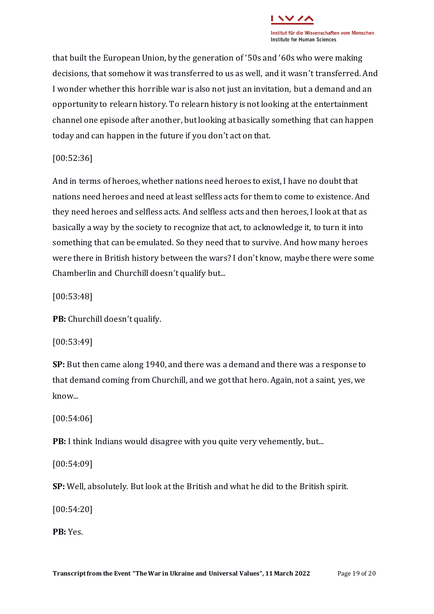

that built the European Union, by the generation of '50s and '60s who were making decisions, that somehow it was transferred to us as well, and it wasn't transferred. And I wonder whether this horrible war is also not just an invitation, but a demand and an opportunity to relearn history. To relearn history is not looking at the entertainment channel one episode after another, but looking at basically something that can happen today and can happen in the future if you don't act on that.

[00:52:36]

And in terms of heroes, whether nations need heroes to exist, I have no doubt that nations need heroes and need at least selfless acts for them to come to existence. And they need heroes and selfless acts. And selfless acts and then heroes, I look at that as basically a way by the society to recognize that act, to acknowledge it, to turn it into something that can be emulated. So they need that to survive. And how many heroes were there in British history between the wars? I don't know, maybe there were some Chamberlin and Churchill doesn't qualify but...

[00:53:48]

**PB:** Churchill doesn't qualify.

[00:53:49]

**SP:** But then came along 1940, and there was a demand and there was a response to that demand coming from Churchill, and we got that hero. Again, not a saint, yes, we know...

[00:54:06]

**PB:** I think Indians would disagree with you quite very vehemently, but...

[00:54:09]

**SP:** Well, absolutely. But look at the British and what he did to the British spirit.

[00:54:20]

**PB:** Yes.